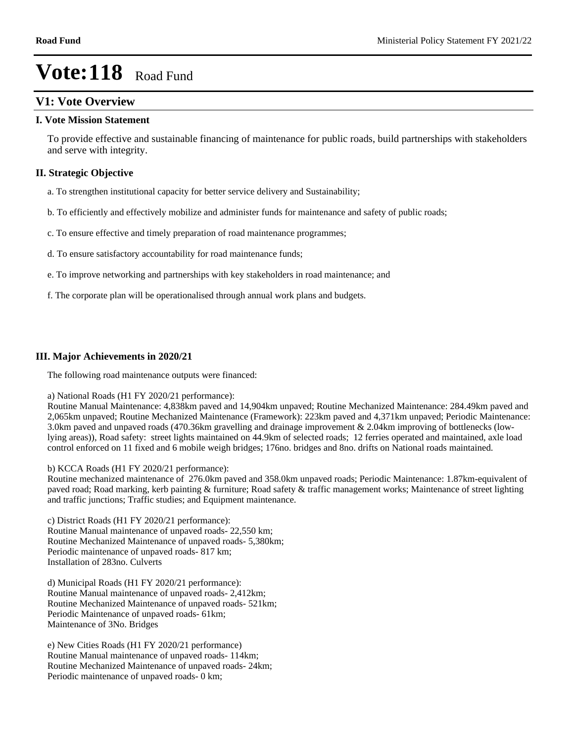# **V1: Vote Overview**

### **I. Vote Mission Statement**

To provide effective and sustainable financing of maintenance for public roads, build partnerships with stakeholders and serve with integrity.

## **II. Strategic Objective**

- a. To strengthen institutional capacity for better service delivery and Sustainability;
- b. To efficiently and effectively mobilize and administer funds for maintenance and safety of public roads;
- c. To ensure effective and timely preparation of road maintenance programmes;
- d. To ensure satisfactory accountability for road maintenance funds;
- e. To improve networking and partnerships with key stakeholders in road maintenance; and
- f. The corporate plan will be operationalised through annual work plans and budgets.

## **III. Major Achievements in 2020/21**

The following road maintenance outputs were financed:

#### a) National Roads (H1 FY 2020/21 performance):

Routine Manual Maintenance: 4,838km paved and 14,904km unpaved; Routine Mechanized Maintenance: 284.49km paved and 2,065km unpaved; Routine Mechanized Maintenance (Framework): 223km paved and 4,371km unpaved; Periodic Maintenance: 3.0km paved and unpaved roads (470.36km gravelling and drainage improvement & 2.04km improving of bottlenecks (lowlying areas)), Road safety: street lights maintained on 44.9km of selected roads; 12 ferries operated and maintained, axle load control enforced on 11 fixed and 6 mobile weigh bridges; 176no. bridges and 8no. drifts on National roads maintained.

b) KCCA Roads (H1 FY 2020/21 performance):

Routine mechanized maintenance of 276.0km paved and 358.0km unpaved roads; Periodic Maintenance: 1.87km-equivalent of paved road; Road marking, kerb painting & furniture; Road safety & traffic management works; Maintenance of street lighting and traffic junctions; Traffic studies; and Equipment maintenance.

c) District Roads (H1 FY 2020/21 performance): Routine Manual maintenance of unpaved roads- 22,550 km; Routine Mechanized Maintenance of unpaved roads- 5,380km; Periodic maintenance of unpaved roads- 817 km; Installation of 283no. Culverts

d) Municipal Roads (H1 FY 2020/21 performance): Routine Manual maintenance of unpaved roads- 2,412km; Routine Mechanized Maintenance of unpaved roads- 521km; Periodic Maintenance of unpaved roads- 61km; Maintenance of 3No. Bridges

e) New Cities Roads (H1 FY 2020/21 performance) Routine Manual maintenance of unpaved roads- 114km; Routine Mechanized Maintenance of unpaved roads- 24km; Periodic maintenance of unpaved roads- 0 km;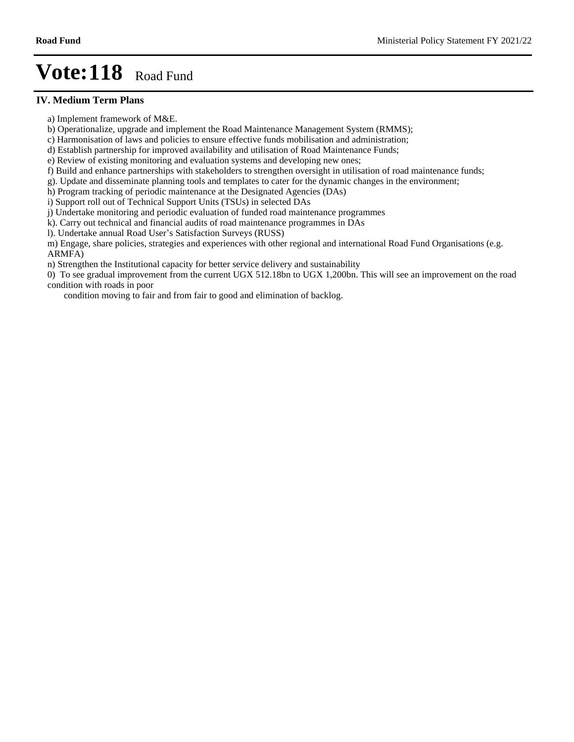#### **IV. Medium Term Plans**

- a) Implement framework of M&E.
- b) Operationalize, upgrade and implement the Road Maintenance Management System (RMMS);
- c) Harmonisation of laws and policies to ensure effective funds mobilisation and administration;
- d) Establish partnership for improved availability and utilisation of Road Maintenance Funds;
- e) Review of existing monitoring and evaluation systems and developing new ones;
- f) Build and enhance partnerships with stakeholders to strengthen oversight in utilisation of road maintenance funds;
- g). Update and disseminate planning tools and templates to cater for the dynamic changes in the environment;
- h) Program tracking of periodic maintenance at the Designated Agencies (DAs)
- i) Support roll out of Technical Support Units (TSUs) in selected DAs
- j) Undertake monitoring and periodic evaluation of funded road maintenance programmes
- k). Carry out technical and financial audits of road maintenance programmes in DAs
- l). Undertake annual Road User's Satisfaction Surveys (RUSS)
- m) Engage, share policies, strategies and experiences with other regional and international Road Fund Organisations (e.g. ARMFA)
- n) Strengthen the Institutional capacity for better service delivery and sustainability
- 0) To see gradual improvement from the current UGX 512.18bn to UGX 1,200bn. This will see an improvement on the road condition with roads in poor
	- condition moving to fair and from fair to good and elimination of backlog.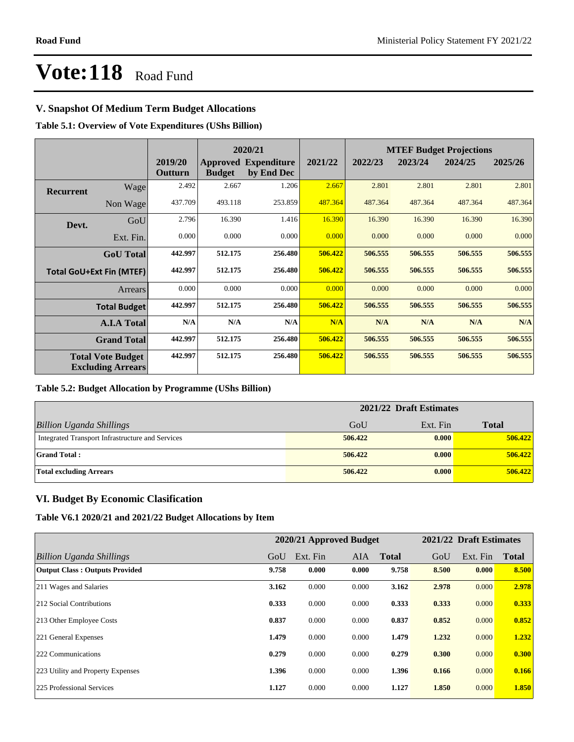## **V. Snapshot Of Medium Term Budget Allocations**

**Table 5.1: Overview of Vote Expenditures (UShs Billion)**

|           |                                                      |                           |               | 2020/21                                   |         | <b>MTEF Budget Projections</b> |         |         |         |  |
|-----------|------------------------------------------------------|---------------------------|---------------|-------------------------------------------|---------|--------------------------------|---------|---------|---------|--|
|           |                                                      | 2019/20<br><b>Outturn</b> | <b>Budget</b> | <b>Approved Expenditure</b><br>by End Dec | 2021/22 | 2022/23                        | 2023/24 | 2024/25 | 2025/26 |  |
| Recurrent | Wagel                                                | 2.492                     | 2.667         | 1.206                                     | 2.667   | 2.801                          | 2.801   | 2.801   | 2.801   |  |
|           | Non Wage                                             | 437.709                   | 493.118       | 253.859                                   | 487.364 | 487.364                        | 487.364 | 487.364 | 487.364 |  |
| Devt.     | GoU                                                  | 2.796                     | 16.390        | 1.416                                     | 16.390  | 16.390                         | 16.390  | 16.390  | 16.390  |  |
|           | Ext. Fin.                                            | 0.000                     | 0.000         | 0.000                                     | 0.000   | 0.000                          | 0.000   | 0.000   | 0.000   |  |
|           | <b>GoU</b> Total                                     | 442.997                   | 512.175       | 256.480                                   | 506.422 | 506.555                        | 506.555 | 506.555 | 506.555 |  |
|           | <b>Total GoU+Ext Fin (MTEF)</b>                      | 442.997                   | 512.175       | 256.480                                   | 506.422 | 506.555                        | 506.555 | 506.555 | 506.555 |  |
|           | Arrears                                              | 0.000                     | 0.000         | 0.000                                     | 0.000   | 0.000                          | 0.000   | 0.000   | 0.000   |  |
|           | <b>Total Budget</b>                                  | 442.997                   | 512.175       | 256.480                                   | 506.422 | 506.555                        | 506.555 | 506.555 | 506.555 |  |
|           | <b>A.I.A Total</b>                                   | N/A                       | N/A           | N/A                                       | N/A     | N/A                            | N/A     | N/A     | N/A     |  |
|           | <b>Grand Total</b>                                   | 442.997                   | 512.175       | 256.480                                   | 506.422 | 506.555                        | 506.555 | 506.555 | 506.555 |  |
|           | <b>Total Vote Budget</b><br><b>Excluding Arrears</b> | 442.997                   | 512.175       | 256.480                                   | 506.422 | 506.555                        | 506.555 | 506.555 | 506.555 |  |

## **Table 5.2: Budget Allocation by Programme (UShs Billion)**

|                                                  | 2021/22 Draft Estimates |          |              |  |  |
|--------------------------------------------------|-------------------------|----------|--------------|--|--|
| <b>Billion Uganda Shillings</b>                  | GoU                     | Ext. Fin | <b>Total</b> |  |  |
| Integrated Transport Infrastructure and Services | 506.422                 | 0.000    | 506.422      |  |  |
| <b>Grand Total:</b>                              | 506.422                 | 0.000    | 506,422      |  |  |
| <b>Total excluding Arrears</b>                   | 506.422                 | 0.000    | 506,422      |  |  |

## **VI. Budget By Economic Clasification**

**Table V6.1 2020/21 and 2021/22 Budget Allocations by Item**

|                                       |       | 2020/21 Approved Budget |            |              |       | 2021/22 Draft Estimates |              |
|---------------------------------------|-------|-------------------------|------------|--------------|-------|-------------------------|--------------|
| Billion Uganda Shillings              | GoU   | Ext. Fin                | <b>AIA</b> | <b>Total</b> | GoU   | Ext. Fin                | <b>Total</b> |
| <b>Output Class: Outputs Provided</b> | 9.758 | 0.000                   | 0.000      | 9.758        | 8.500 | 0.000                   | 8.500        |
| 211 Wages and Salaries                | 3.162 | 0.000                   | 0.000      | 3.162        | 2.978 | 0.000                   | 2.978        |
| 212 Social Contributions              | 0.333 | 0.000                   | 0.000      | 0.333        | 0.333 | 0.000                   | 0.333        |
| 213 Other Employee Costs              | 0.837 | 0.000                   | 0.000      | 0.837        | 0.852 | 0.000                   | 0.852        |
| 221 General Expenses                  | 1.479 | 0.000                   | 0.000      | 1.479        | 1.232 | 0.000                   | 1.232        |
| 222 Communications                    | 0.279 | 0.000                   | 0.000      | 0.279        | 0.300 | 0.000                   | 0.300        |
| 223 Utility and Property Expenses     | 1.396 | 0.000                   | 0.000      | 1.396        | 0.166 | 0.000                   | 0.166        |
| 225 Professional Services             | 1.127 | 0.000                   | 0.000      | 1.127        | 1.850 | 0.000                   | 1.850        |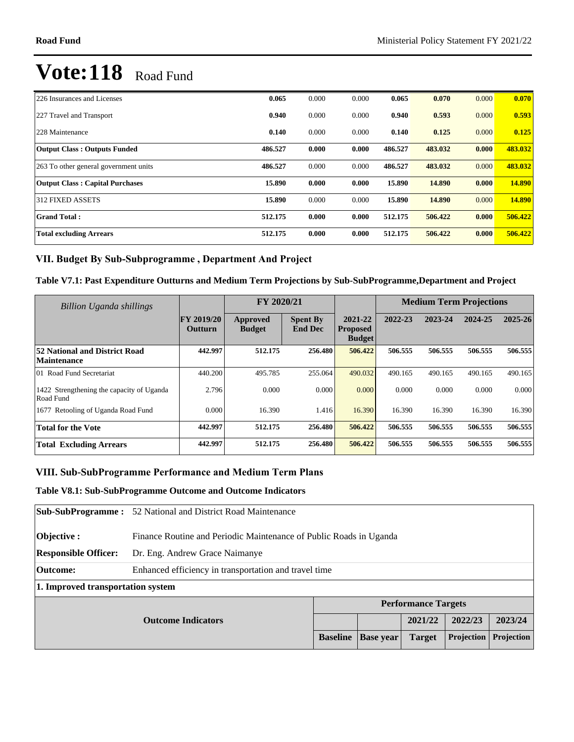| 226 Insurances and Licenses            | 0.065   | 0.000 | 0.000 | 0.065   | 0.070   | 0.000 | 0.070   |
|----------------------------------------|---------|-------|-------|---------|---------|-------|---------|
| 227 Travel and Transport               | 0.940   | 0.000 | 0.000 | 0.940   | 0.593   | 0.000 | 0.593   |
| 228 Maintenance                        | 0.140   | 0.000 | 0.000 | 0.140   | 0.125   | 0.000 | 0.125   |
| <b>Output Class: Outputs Funded</b>    | 486.527 | 0.000 | 0.000 | 486.527 | 483.032 | 0.000 | 483.032 |
| 263 To other general government units  | 486.527 | 0.000 | 0.000 | 486.527 | 483.032 | 0.000 | 483.032 |
| <b>Output Class: Capital Purchases</b> | 15.890  | 0.000 | 0.000 | 15.890  | 14.890  | 0.000 | 14.890  |
| 312 FIXED ASSETS                       | 15.890  | 0.000 | 0.000 | 15.890  | 14.890  | 0.000 | 14.890  |
| <b>Grand Total:</b>                    | 512.175 | 0.000 | 0.000 | 512.175 | 506.422 | 0.000 | 506.422 |
| <b>Total excluding Arrears</b>         | 512.175 | 0.000 | 0.000 | 512.175 | 506.422 | 0.000 | 506.422 |

# VII. Budget By Sub-Subprogramme, Department And Project

**Table V7.1: Past Expenditure Outturns and Medium Term Projections by Sub-SubProgramme,Department and Project**

| Billion Uganda shillings                               |                                     | FY 2020/21                |                                   |                                             | <b>Medium Term Projections</b> |         |         |             |
|--------------------------------------------------------|-------------------------------------|---------------------------|-----------------------------------|---------------------------------------------|--------------------------------|---------|---------|-------------|
|                                                        | <b>FY 2019/20</b><br><b>Outturn</b> | Approved<br><b>Budget</b> | <b>Spent By</b><br><b>End Dec</b> | 2021-22<br><b>Proposed</b><br><b>Budget</b> | 2022-23                        | 2023-24 | 2024-25 | $2025 - 26$ |
| 52 National and District Road<br><b>Maintenance</b>    | 442.997                             | 512.175                   | 256.480                           | 506.422                                     | 506.555                        | 506.555 | 506.555 | 506.555     |
| 101 Road Fund Secretariat                              | 440.200                             | 495.785                   | 255.064                           | 490.032                                     | 490.165                        | 490.165 | 490.165 | 490.165     |
| 1422 Strengthening the capacity of Uganda<br>Road Fund | 2.796                               | 0.000                     | 0.000                             | 0.000                                       | 0.000                          | 0.000   | 0.000   | 0.000       |
| 1677 Retooling of Uganda Road Fund                     | 0.000                               | 16.390                    | 1.416                             | 16.390                                      | 16.390                         | 16.390  | 16.390  | 16.390      |
| <b>Total for the Vote</b>                              | 442.997                             | 512.175                   | 256.480                           | 506.422                                     | 506.555                        | 506.555 | 506.555 | 506.555     |
| <b>Total Excluding Arrears</b>                         | 442.997                             | 512.175                   | 256.480                           | 506.422                                     | 506.555                        | 506.555 | 506.555 | 506.555     |

## VIII. Sub-SubProgramme Performance and Medium Term Plans

#### **Table V8.1: Sub-SubProgramme Outcome and Outcome Indicators**

|                                                            | <b>Sub-SubProgramme:</b> 52 National and District Road Maintenance        |  |  |  |  |  |  |  |
|------------------------------------------------------------|---------------------------------------------------------------------------|--|--|--|--|--|--|--|
| <b>Objective:</b>                                          | Finance Routine and Periodic Maintenance of Public Roads in Uganda        |  |  |  |  |  |  |  |
| <b>Responsible Officer:</b>                                | Dr. Eng. Andrew Grace Naimanye                                            |  |  |  |  |  |  |  |
| <b>Outcome:</b>                                            | Enhanced efficiency in transportation and travel time                     |  |  |  |  |  |  |  |
| 1. Improved transportation system                          |                                                                           |  |  |  |  |  |  |  |
|                                                            | <b>Performance Targets</b>                                                |  |  |  |  |  |  |  |
| 2022/23<br>2021/22<br>2023/24<br><b>Outcome Indicators</b> |                                                                           |  |  |  |  |  |  |  |
|                                                            | Projection<br>Projection<br><b>Baseline</b><br><b>Base year</b><br>Target |  |  |  |  |  |  |  |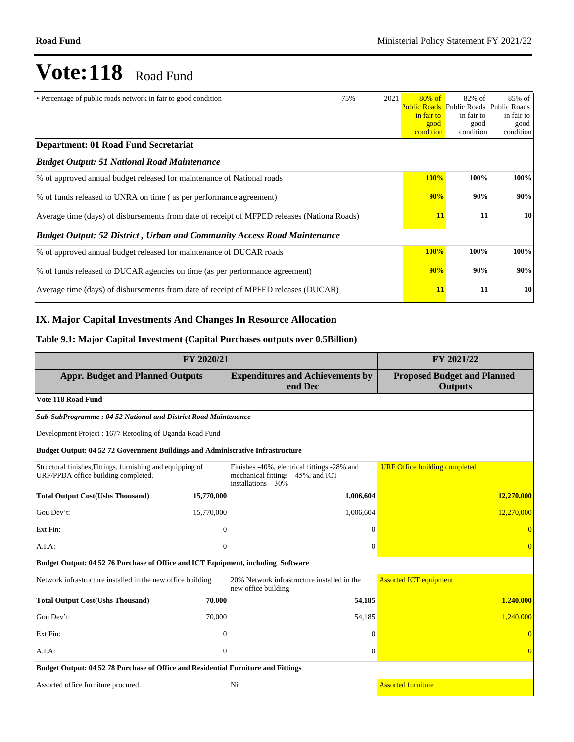| • Percentage of public roads network in fair to good condition                              | 75% | 2021 | $80\%$ of<br>in fair to<br>good<br>condition | $82\%$ of<br><b>Public Roads</b> Public Roads<br>in fair to<br>good<br>condition | 85% of<br>Public Roads<br>in fair to<br>good<br>condition |
|---------------------------------------------------------------------------------------------|-----|------|----------------------------------------------|----------------------------------------------------------------------------------|-----------------------------------------------------------|
| <b>Department: 01 Road Fund Secretariat</b>                                                 |     |      |                                              |                                                                                  |                                                           |
| <b>Budget Output: 51 National Road Maintenance</b>                                          |     |      |                                              |                                                                                  |                                                           |
| % of approved annual budget released for maintenance of National roads                      |     |      | 100%                                         | 100%                                                                             | 100%                                                      |
| % of funds released to UNRA on time (as per performance agreement)                          |     |      | 90%                                          | 90%                                                                              | 90%                                                       |
| Average time (days) of disbursements from date of receipt of MFPED releases (Nationa Roads) | 11  | 11   | 10                                           |                                                                                  |                                                           |
| <b>Budget Output: 52 District, Urban and Community Access Road Maintenance</b>              |     |      |                                              |                                                                                  |                                                           |
| % of approved annual budget released for maintenance of DUCAR roads                         |     |      | 100%                                         | 100%                                                                             | 100%                                                      |
| % of funds released to DUCAR agencies on time (as per performance agreement)                |     |      | 90%                                          | 90%                                                                              | 90%                                                       |
| Average time (days) of disbursements from date of receipt of MPFED releases (DUCAR)         |     |      | 11                                           | 11                                                                               | 10                                                        |

# **IX. Major Capital Investments And Changes In Resource Allocation**

# **Table 9.1: Major Capital Investment (Capital Purchases outputs over 0.5Billion)**

|                                                                                                   | FY 2021/22     |                                                                                                             |                                                      |
|---------------------------------------------------------------------------------------------------|----------------|-------------------------------------------------------------------------------------------------------------|------------------------------------------------------|
| <b>Appr. Budget and Planned Outputs</b>                                                           |                | <b>Expenditures and Achievements by</b><br>end Dec                                                          | <b>Proposed Budget and Planned</b><br><b>Outputs</b> |
| Vote 118 Road Fund                                                                                |                |                                                                                                             |                                                      |
| Sub-SubProgramme: 04 52 National and District Road Maintenance                                    |                |                                                                                                             |                                                      |
| Development Project : 1677 Retooling of Uganda Road Fund                                          |                |                                                                                                             |                                                      |
| <b>Budget Output: 04 52 72 Government Buildings and Administrative Infrastructure</b>             |                |                                                                                                             |                                                      |
| Structural finishes, Fittings, furnishing and equipping of<br>URF/PPDA office building completed. |                | Finishes -40%, electrical fittings -28% and<br>mechanical fittings $-45%$ , and ICT<br>installations $-30%$ | <b>URF Office building completed</b>                 |
| <b>Total Output Cost(Ushs Thousand)</b>                                                           | 15,770,000     | 1,006,604                                                                                                   | 12,270,000                                           |
| Gou Dev't:                                                                                        | 15,770,000     | 1,006,604                                                                                                   | 12,270,000                                           |
| Ext Fin:                                                                                          | $\mathbf{0}$   | $\Omega$                                                                                                    |                                                      |
| A.I.A:                                                                                            | $\overline{0}$ | $\Omega$                                                                                                    |                                                      |
| Budget Output: 04 52 76 Purchase of Office and ICT Equipment, including Software                  |                |                                                                                                             |                                                      |
| Network infrastructure installed in the new office building                                       |                | 20% Network infrastructure installed in the<br>new office building                                          | <b>Assorted ICT equipment</b>                        |
| <b>Total Output Cost(Ushs Thousand)</b>                                                           | 70,000         | 54,185                                                                                                      | 1,240,000                                            |
| Gou Dev't:                                                                                        | 70,000         | 54,185                                                                                                      | 1,240,000                                            |
| Ext Fin:                                                                                          | $\theta$       | $\Omega$                                                                                                    |                                                      |
| A.I.A.                                                                                            | $\theta$       | $\Omega$                                                                                                    | $\overline{0}$                                       |
| Budget Output: 04 52 78 Purchase of Office and Residential Furniture and Fittings                 |                |                                                                                                             |                                                      |
| Assorted office furniture procured.                                                               |                | Nil                                                                                                         | <b>Assorted furniture</b>                            |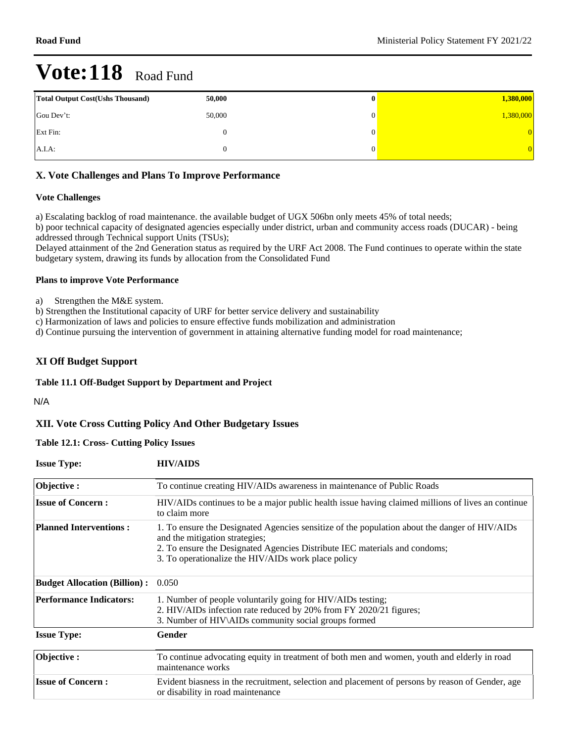| <b>Total Output Cost (Ushs Thousand)</b> | 50,000 | v | 1,380,000  |
|------------------------------------------|--------|---|------------|
| Gou Dev't:                               | 50,000 |   | 1,380,000  |
| Ext Fin:                                 |        |   | $^{\circ}$ |
| A.I.A:                                   |        |   |            |

## **X. Vote Challenges and Plans To Improve Performance**

#### **Vote Challenges**

a) Escalating backlog of road maintenance. the available budget of UGX 506bn only meets 45% of total needs; b) poor technical capacity of designated agencies especially under district, urban and community access roads (DUCAR) - being

addressed through Technical support Units (TSUs);

Delayed attainment of the 2nd Generation status as required by the URF Act 2008. The Fund continues to operate within the state budgetary system, drawing its funds by allocation from the Consolidated Fund

#### **Plans to improve Vote Performance**

a) Strengthen the M&E system.

b) Strengthen the Institutional capacity of URF for better service delivery and sustainability

c) Harmonization of laws and policies to ensure effective funds mobilization and administration

d) Continue pursuing the intervention of government in attaining alternative funding model for road maintenance;

## **XI Off Budget Support**

#### **Table 11.1 Off-Budget Support by Department and Project**

N/A

## **XII. Vote Cross Cutting Policy And Other Budgetary Issues**

#### **Table 12.1: Cross- Cutting Policy Issues**

| <b>Issue Type:</b>                                                                                                                             | <b>HIV/AIDS</b>                                                                                                                                                                                                                                                      |  |  |  |  |
|------------------------------------------------------------------------------------------------------------------------------------------------|----------------------------------------------------------------------------------------------------------------------------------------------------------------------------------------------------------------------------------------------------------------------|--|--|--|--|
| Objective:                                                                                                                                     | To continue creating HIV/AIDs awareness in maintenance of Public Roads                                                                                                                                                                                               |  |  |  |  |
| <b>Issue of Concern:</b><br>HIV/AIDs continues to be a major public health issue having claimed millions of lives an continue<br>to claim more |                                                                                                                                                                                                                                                                      |  |  |  |  |
| <b>Planned Interventions:</b>                                                                                                                  | 1. To ensure the Designated Agencies sensitize of the population about the danger of HIV/AIDs<br>and the mitigation strategies;<br>2. To ensure the Designated Agencies Distribute IEC materials and condoms;<br>3. To operationalize the HIV/AIDs work place policy |  |  |  |  |
| <b>Budget Allocation (Billion):</b>                                                                                                            | 0.050                                                                                                                                                                                                                                                                |  |  |  |  |
| <b>Performance Indicators:</b>                                                                                                                 | 1. Number of people voluntarily going for HIV/AIDs testing;<br>2. HIV/AIDs infection rate reduced by 20% from FY 2020/21 figures;<br>3. Number of HIV\AIDs community social groups formed                                                                            |  |  |  |  |
| <b>Issue Type:</b>                                                                                                                             | Gender                                                                                                                                                                                                                                                               |  |  |  |  |
| Objective:                                                                                                                                     | To continue advocating equity in treatment of both men and women, youth and elderly in road<br>maintenance works                                                                                                                                                     |  |  |  |  |
| <b>Issue of Concern:</b>                                                                                                                       | Evident biasness in the recruitment, selection and placement of persons by reason of Gender, age<br>or disability in road maintenance                                                                                                                                |  |  |  |  |